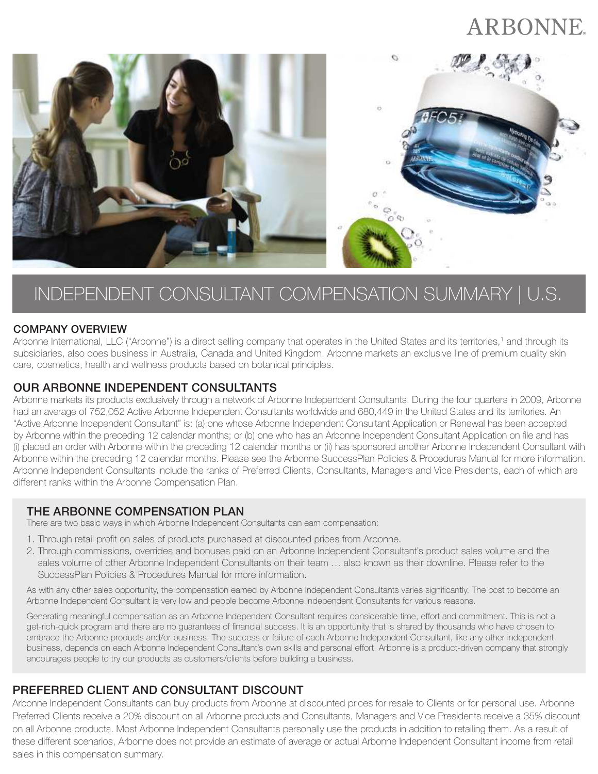# ARBONNE.



# INDEPENDENT CONSULTANT COMPENSATION SUMMARY | U.S.

#### COMPANY OVERVIEW

Arbonne International, LLC ("Arbonne") is a direct selling company that operates in the United States and its territories,<sup>1</sup> and through its subsidiaries, also does business in Australia, Canada and United Kingdom. Arbonne markets an exclusive line of premium quality skin care, cosmetics, health and wellness products based on botanical principles.

#### OUR ARBONNE INDEPENDENT CONSULTANTS

Arbonne markets its products exclusively through a network of Arbonne Independent Consultants. During the four quarters in 2009, Arbonne had an average of 752,052 Active Arbonne Independent Consultants worldwide and 680,449 in the United States and its territories. An "Active Arbonne Independent Consultant" is: (a) one whose Arbonne Independent Consultant Application or Renewal has been accepted by Arbonne within the preceding 12 calendar months; or (b) one who has an Arbonne Independent Consultant Application on file and has (i) placed an order with Arbonne within the preceding 12 calendar months or (ii) has sponsored another Arbonne Independent Consultant with Arbonne within the preceding 12 calendar months. Please see the Arbonne SuccessPlan Policies & Procedures Manual for more information. Arbonne Independent Consultants include the ranks of Preferred Clients, Consultants, Managers and Vice Presidents, each of which are different ranks within the Arbonne Compensation Plan.

## THE ARBONNE COMPENSATION PLAN

There are two basic ways in which Arbonne Independent Consultants can earn compensation:

- 1. Through retail profit on sales of products purchased at discounted prices from Arbonne.
- 2. Through commissions, overrides and bonuses paid on an Arbonne Independent Consultant's product sales volume and the sales volume of other Arbonne Independent Consultants on their team … also known as their downline. Please refer to the SuccessPlan Policies & Procedures Manual for more information.

As with any other sales opportunity, the compensation earned by Arbonne Independent Consultants varies significantly. The cost to become an Arbonne Independent Consultant is very low and people become Arbonne Independent Consultants for various reasons.

Generating meaningful compensation as an Arbonne Independent Consultant requires considerable time, effort and commitment. This is not a get-rich-quick program and there are no guarantees of financial success. It is an opportunity that is shared by thousands who have chosen to embrace the Arbonne products and/or business. The success or failure of each Arbonne Independent Consultant, like any other independent business, depends on each Arbonne Independent Consultant's own skills and personal effort. Arbonne is a product-driven company that strongly encourages people to try our products as customers/clients before building a business.

## PREFERRED CLIENT AND CONSULTANT DISCOUNT

Arbonne Independent Consultants can buy products from Arbonne at discounted prices for resale to Clients or for personal use. Arbonne Preferred Clients receive a 20% discount on all Arbonne products and Consultants, Managers and Vice Presidents receive a 35% discount on all Arbonne products. Most Arbonne Independent Consultants personally use the products in addition to retailing them. As a result of these different scenarios, Arbonne does not provide an estimate of average or actual Arbonne Independent Consultant income from retail sales in this compensation summary.